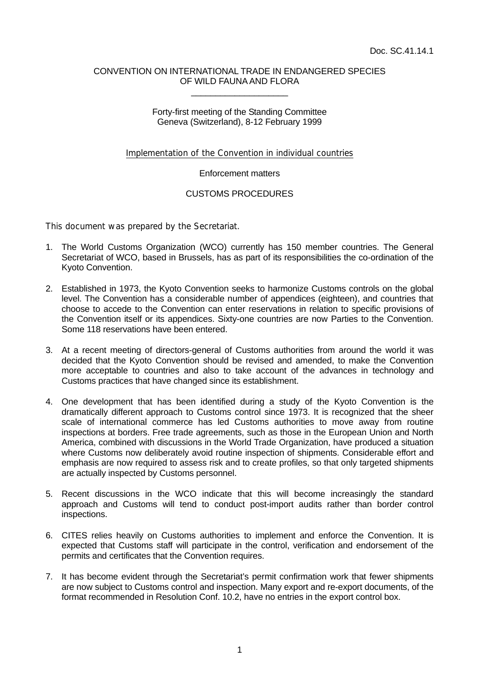#### CONVENTION ON INTERNATIONAL TRADE IN ENDANGERED SPECIES OF WILD FAUNA AND FLORA \_\_\_\_\_\_\_\_\_\_\_\_\_\_\_\_\_\_\_\_

### Forty-first meeting of the Standing Committee Geneva (Switzerland), 8-12 February 1999

## Implementation of the Convention in individual countries

### Enforcement matters

# CUSTOMS PROCEDURES

This document was prepared by the Secretariat.

- 1. The World Customs Organization (WCO) currently has 150 member countries. The General Secretariat of WCO, based in Brussels, has as part of its responsibilities the co-ordination of the Kyoto Convention.
- 2. Established in 1973, the Kyoto Convention seeks to harmonize Customs controls on the global level. The Convention has a considerable number of appendices (eighteen), and countries that choose to accede to the Convention can enter reservations in relation to specific provisions of the Convention itself or its appendices. Sixty-one countries are now Parties to the Convention. Some 118 reservations have been entered.
- 3. At a recent meeting of directors-general of Customs authorities from around the world it was decided that the Kyoto Convention should be revised and amended, to make the Convention more acceptable to countries and also to take account of the advances in technology and Customs practices that have changed since its establishment.
- 4. One development that has been identified during a study of the Kyoto Convention is the dramatically different approach to Customs control since 1973. It is recognized that the sheer scale of international commerce has led Customs authorities to move away from routine inspections at borders. Free trade agreements, such as those in the European Union and North America, combined with discussions in the World Trade Organization, have produced a situation where Customs now deliberately avoid routine inspection of shipments. Considerable effort and emphasis are now required to assess risk and to create profiles, so that only targeted shipments are actually inspected by Customs personnel.
- 5. Recent discussions in the WCO indicate that this will become increasingly the standard approach and Customs will tend to conduct post-import audits rather than border control inspections.
- 6. CITES relies heavily on Customs authorities to implement and enforce the Convention. It is expected that Customs staff will participate in the control, verification and endorsement of the permits and certificates that the Convention requires.
- 7. It has become evident through the Secretariat's permit confirmation work that fewer shipments are now subject to Customs control and inspection. Many export and re-export documents, of the format recommended in Resolution Conf. 10.2, have no entries in the export control box.